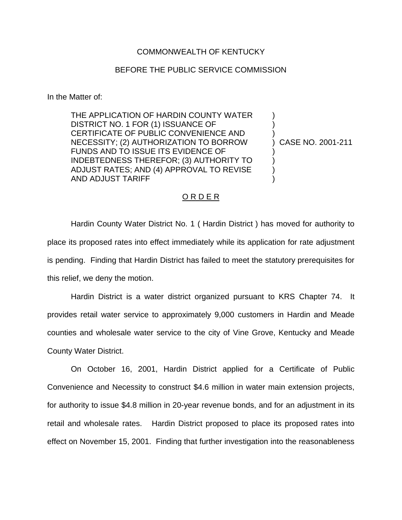## COMMONWEALTH OF KENTUCKY

## BEFORE THE PUBLIC SERVICE COMMISSION

In the Matter of:

THE APPLICATION OF HARDIN COUNTY WATER DISTRICT NO. 1 FOR (1) ISSUANCE OF CERTIFICATE OF PUBLIC CONVENIENCE AND NECESSITY; (2) AUTHORIZATION TO BORROW FUNDS AND TO ISSUE ITS EVIDENCE OF INDEBTEDNESS THEREFOR; (3) AUTHORITY TO ADJUST RATES; AND (4) APPROVAL TO REVISE AND ADJUST TARIFF

) CASE NO. 2001-211

) ) )

) ) ) )

## O R D E R

Hardin County Water District No. 1 ( Hardin District ) has moved for authority to place its proposed rates into effect immediately while its application for rate adjustment is pending. Finding that Hardin District has failed to meet the statutory prerequisites for this relief, we deny the motion.

Hardin District is a water district organized pursuant to KRS Chapter 74. It provides retail water service to approximately 9,000 customers in Hardin and Meade counties and wholesale water service to the city of Vine Grove, Kentucky and Meade County Water District.

On October 16, 2001, Hardin District applied for a Certificate of Public Convenience and Necessity to construct \$4.6 million in water main extension projects, for authority to issue \$4.8 million in 20-year revenue bonds, and for an adjustment in its retail and wholesale rates. Hardin District proposed to place its proposed rates into effect on November 15, 2001. Finding that further investigation into the reasonableness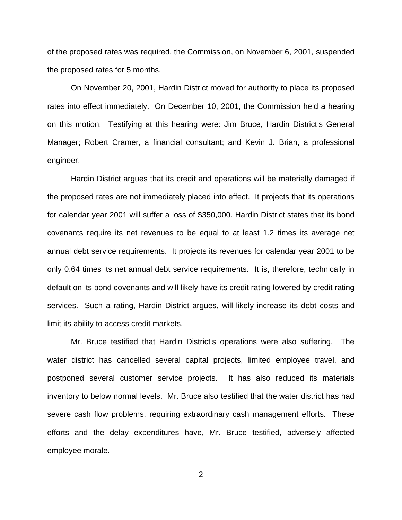of the proposed rates was required, the Commission, on November 6, 2001, suspended the proposed rates for 5 months.

On November 20, 2001, Hardin District moved for authority to place its proposed rates into effect immediately. On December 10, 2001, the Commission held a hearing on this motion. Testifying at this hearing were: Jim Bruce, Hardin District s General Manager; Robert Cramer, a financial consultant; and Kevin J. Brian, a professional engineer.

Hardin District argues that its credit and operations will be materially damaged if the proposed rates are not immediately placed into effect. It projects that its operations for calendar year 2001 will suffer a loss of \$350,000. Hardin District states that its bond covenants require its net revenues to be equal to at least 1.2 times its average net annual debt service requirements. It projects its revenues for calendar year 2001 to be only 0.64 times its net annual debt service requirements. It is, therefore, technically in default on its bond covenants and will likely have its credit rating lowered by credit rating services. Such a rating, Hardin District argues, will likely increase its debt costs and limit its ability to access credit markets.

Mr. Bruce testified that Hardin District s operations were also suffering. The water district has cancelled several capital projects, limited employee travel, and postponed several customer service projects. It has also reduced its materials inventory to below normal levels. Mr. Bruce also testified that the water district has had severe cash flow problems, requiring extraordinary cash management efforts. These efforts and the delay expenditures have, Mr. Bruce testified, adversely affected employee morale.

-2-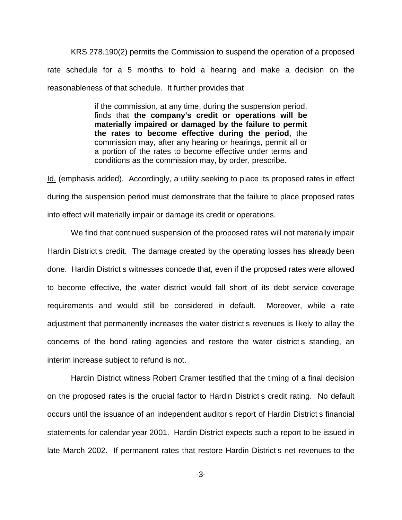KRS 278.190(2) permits the Commission to suspend the operation of a proposed rate schedule for a 5 months to hold a hearing and make a decision on the reasonableness of that schedule. It further provides that

> if the commission, at any time, during the suspension period, finds that **the company's credit or operations will be materially impaired or damaged by the failure to permit the rates to become effective during the period**, the commission may, after any hearing or hearings, permit all or a portion of the rates to become effective under terms and conditions as the commission may, by order, prescribe.

Id. (emphasis added). Accordingly, a utility seeking to place its proposed rates in effect during the suspension period must demonstrate that the failure to place proposed rates into effect will materially impair or damage its credit or operations.

We find that continued suspension of the proposed rates will not materially impair Hardin District s credit. The damage created by the operating losses has already been done. Hardin District s witnesses concede that, even if the proposed rates were allowed to become effective, the water district would fall short of its debt service coverage requirements and would still be considered in default. Moreover, while a rate adjustment that permanently increases the water district s revenues is likely to allay the concerns of the bond rating agencies and restore the water district s standing, an interim increase subject to refund is not.

Hardin District witness Robert Cramer testified that the timing of a final decision on the proposed rates is the crucial factor to Hardin District s credit rating. No default occurs until the issuance of an independent auditor s report of Hardin District s financial statements for calendar year 2001. Hardin District expects such a report to be issued in late March 2002. If permanent rates that restore Hardin District s net revenues to the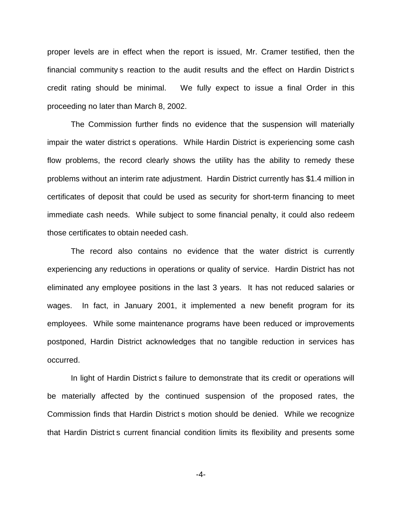proper levels are in effect when the report is issued, Mr. Cramer testified, then the financial community s reaction to the audit results and the effect on Hardin District s credit rating should be minimal. We fully expect to issue a final Order in this proceeding no later than March 8, 2002.

The Commission further finds no evidence that the suspension will materially impair the water district s operations. While Hardin District is experiencing some cash flow problems, the record clearly shows the utility has the ability to remedy these problems without an interim rate adjustment. Hardin District currently has \$1.4 million in certificates of deposit that could be used as security for short-term financing to meet immediate cash needs. While subject to some financial penalty, it could also redeem those certificates to obtain needed cash.

The record also contains no evidence that the water district is currently experiencing any reductions in operations or quality of service. Hardin District has not eliminated any employee positions in the last 3 years. It has not reduced salaries or wages. In fact, in January 2001, it implemented a new benefit program for its employees. While some maintenance programs have been reduced or improvements postponed, Hardin District acknowledges that no tangible reduction in services has occurred.

In light of Hardin District s failure to demonstrate that its credit or operations will be materially affected by the continued suspension of the proposed rates, the Commission finds that Hardin District s motion should be denied. While we recognize that Hardin District s current financial condition limits its flexibility and presents some

-4-